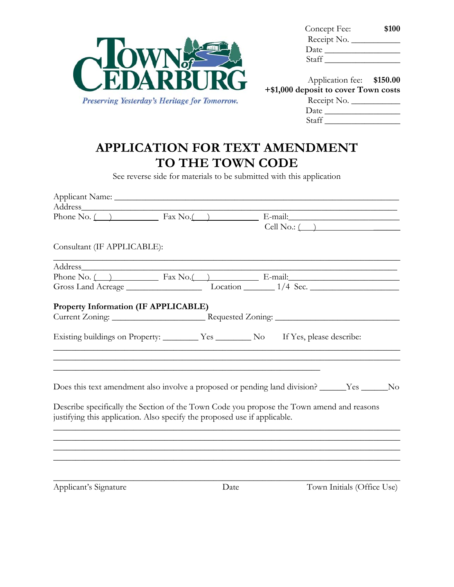

| Concept Fee: | \$100 |
|--------------|-------|
| Receipt No.  |       |
| Date         |       |
| Staff        |       |

| Application fee: \$150.00            |  |
|--------------------------------------|--|
| +\$1,000 deposit to cover Town costs |  |
| Receipt No.                          |  |
| Date                                 |  |
| Staff                                |  |

# **APPLICATION FOR TEXT AMENDMENT TO THE TOWN CODE**

See reverse side for materials to be submitted with this application

| Address_ the contract of the contract of the contract of the contract of the contract of the contract of the contract of the contract of the contract of the contract of the contract of the contract of the contract of the c |  |                       |                                                                                           |  |
|--------------------------------------------------------------------------------------------------------------------------------------------------------------------------------------------------------------------------------|--|-----------------------|-------------------------------------------------------------------------------------------|--|
| Phone No. $\overline{)}$ Fax No. $\overline{)}$ E-mail:                                                                                                                                                                        |  |                       |                                                                                           |  |
|                                                                                                                                                                                                                                |  | $Cell No.:$ $\qquad)$ |                                                                                           |  |
| Consultant (IF APPLICABLE):                                                                                                                                                                                                    |  |                       |                                                                                           |  |
|                                                                                                                                                                                                                                |  |                       |                                                                                           |  |
| Phone No. $($ $)$ Fax No. $($ $)$ E-mail:                                                                                                                                                                                      |  |                       |                                                                                           |  |
|                                                                                                                                                                                                                                |  |                       |                                                                                           |  |
| Property Information (IF APPLICABLE)                                                                                                                                                                                           |  |                       |                                                                                           |  |
|                                                                                                                                                                                                                                |  |                       |                                                                                           |  |
|                                                                                                                                                                                                                                |  |                       |                                                                                           |  |
| Existing buildings on Property: Ves No If Yes, please describe:                                                                                                                                                                |  |                       |                                                                                           |  |
|                                                                                                                                                                                                                                |  |                       | the control of the control of the control of the control of the control of the control of |  |
|                                                                                                                                                                                                                                |  |                       |                                                                                           |  |
|                                                                                                                                                                                                                                |  |                       |                                                                                           |  |
| Does this text amendment also involve a proposed or pending land division? _____Yes _____No                                                                                                                                    |  |                       |                                                                                           |  |
|                                                                                                                                                                                                                                |  |                       |                                                                                           |  |
| Describe specifically the Section of the Town Code you propose the Town amend and reasons                                                                                                                                      |  |                       |                                                                                           |  |
| justifying this application. Also specify the proposed use if applicable.                                                                                                                                                      |  |                       |                                                                                           |  |
|                                                                                                                                                                                                                                |  |                       |                                                                                           |  |
|                                                                                                                                                                                                                                |  |                       |                                                                                           |  |
|                                                                                                                                                                                                                                |  |                       |                                                                                           |  |
|                                                                                                                                                                                                                                |  |                       |                                                                                           |  |

Applicant's Signature Date Date Town Initials (Office Use)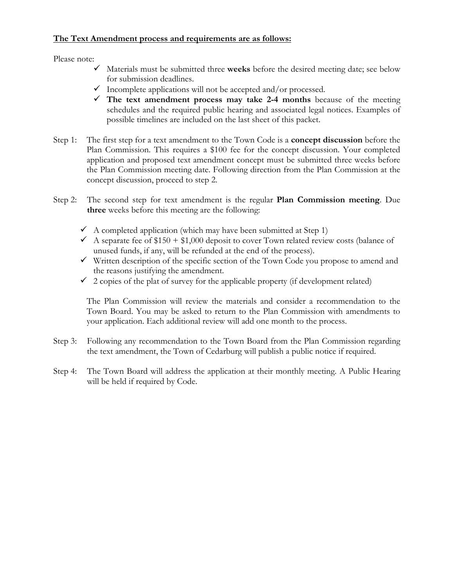### **The Text Amendment process and requirements are as follows:**

Please note:

- $\checkmark$  Materials must be submitted three weeks before the desired meeting date; see below for submission deadlines.
- $\checkmark$  Incomplete applications will not be accepted and/or processed.
- $\checkmark$  The text amendment process may take 2-4 months because of the meeting schedules and the required public hearing and associated legal notices. Examples of possible timelines are included on the last sheet of this packet.
- Step 1: The first step for a text amendment to the Town Code is a **concept discussion** before the Plan Commission. This requires a \$100 fee for the concept discussion. Your completed application and proposed text amendment concept must be submitted three weeks before the Plan Commission meeting date. Following direction from the Plan Commission at the concept discussion, proceed to step 2.
- Step 2: The second step for text amendment is the regular **Plan Commission meeting**. Due **three** weeks before this meeting are the following:
	- $\checkmark$  A completed application (which may have been submitted at Step 1)
	- A separate fee of  $$150 + $1,000$  deposit to cover Town related review costs (balance of unused funds, if any, will be refunded at the end of the process).
	- $\checkmark$  Written description of the specific section of the Town Code you propose to amend and the reasons justifying the amendment.
	- $\checkmark$  2 copies of the plat of survey for the applicable property (if development related)

The Plan Commission will review the materials and consider a recommendation to the Town Board. You may be asked to return to the Plan Commission with amendments to your application. Each additional review will add one month to the process.

- Step 3: Following any recommendation to the Town Board from the Plan Commission regarding the text amendment, the Town of Cedarburg will publish a public notice if required.
- Step 4: The Town Board will address the application at their monthly meeting. A Public Hearing will be held if required by Code.